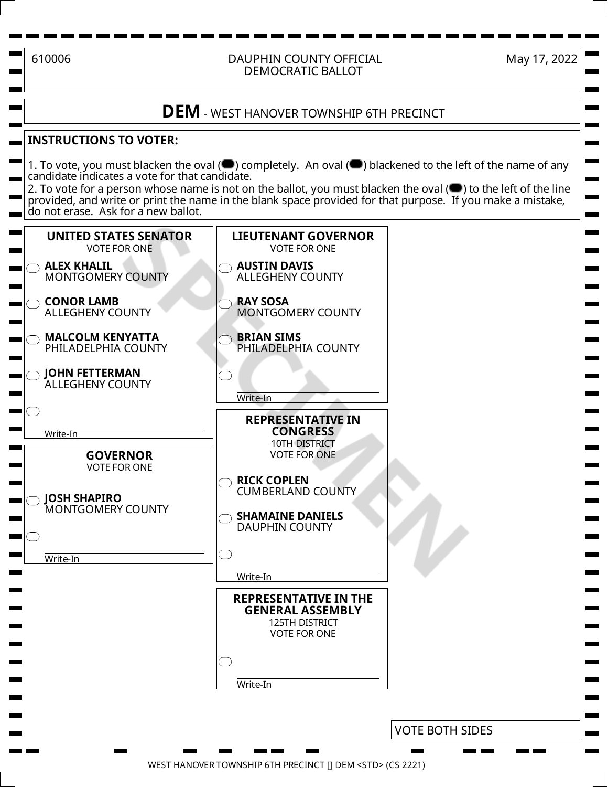## 610006 DAUPHIN COUNTY OFFICIAL DEMOCRATIC BALLOT

## **DEM** - WEST HANOVER TOWNSHIP 6TH PRECINCT

## **INSTRUCTIONS TO VOTER:**

1. To vote, you must blacken the oval ( $\blacksquare$ ) completely. An oval ( $\blacksquare$ ) blackened to the left of the name of any candidate indicates a vote for that candidate.

2. To vote for a person whose name is not on the ballot, you must blacken the oval ( $\blacksquare$ ) to the left of the line provided, and write or print the name in the blank space provided for that purpose. If you make a mistake, do not erase. Ask for a new ballot.



VOTE BOTH SIDES